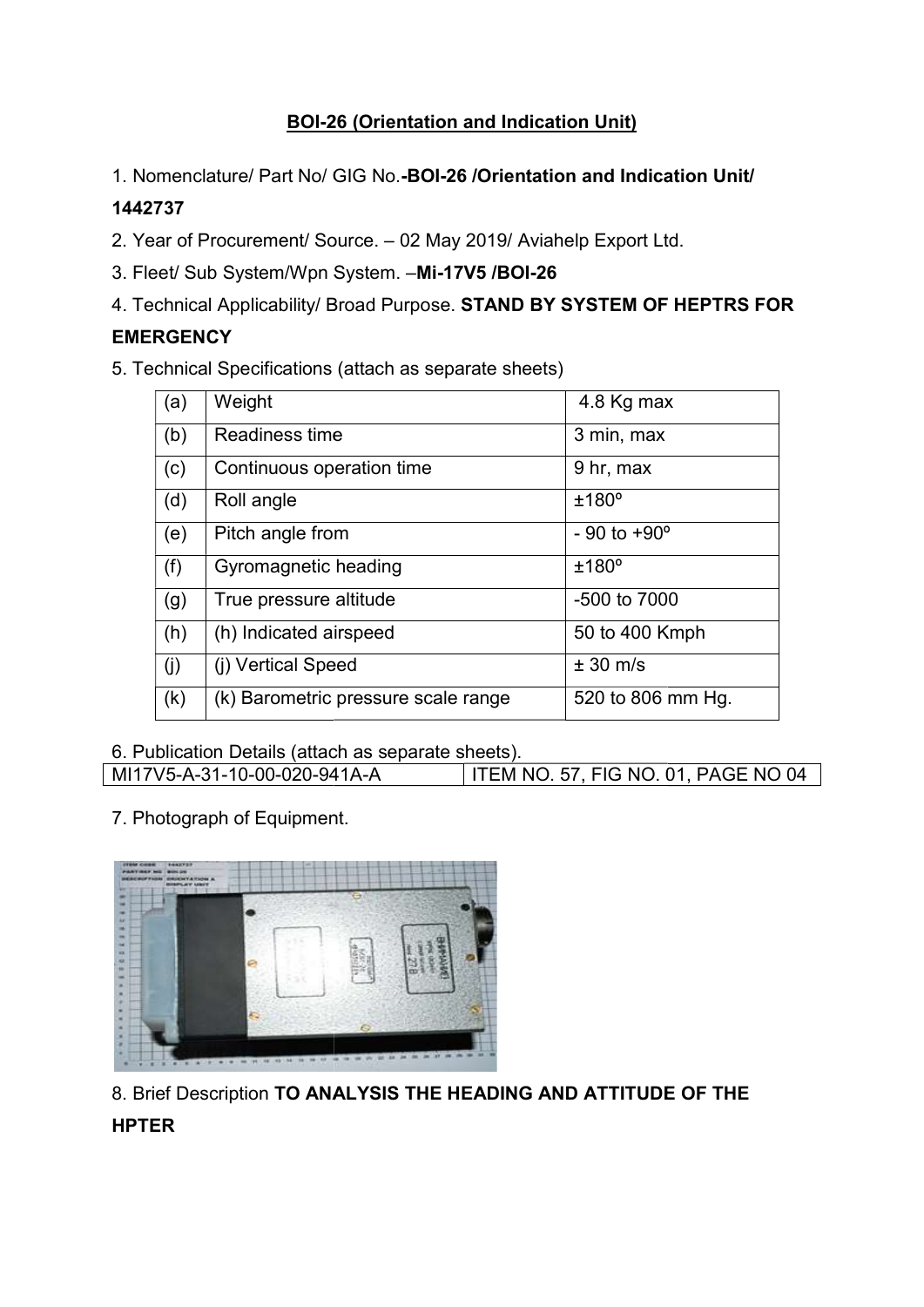# BOI-26 (Orientation and Indication Unit) 26 (Orientation

1. Nomenclature/ Part No/ GIG No.-BOI-26 / Orientation and Indication Unit/

## 1442737

- 2. Year of Procurement/ Source. 02 May 2019/ Aviahelp Export Ltd.
- 3. Fleet/ Sub System/Wpn System. -Mi-17V5 /BOI-26
- 4. Technical Applicability/ Broad Purpose. STAND BY SYSTEM OF HEPTRS FOR

## **EMERGENCY**

|         |                  | 1. Nomenclature/ Part No/ GIG No.-BOI-26 / Orientation and Indication Unit/ |                                  |
|---------|------------------|-----------------------------------------------------------------------------|----------------------------------|
| 1442737 |                  |                                                                             |                                  |
|         |                  | 2. Year of Procurement/ Source. - 02 May 2019/ Aviahelp Export Ltd.         |                                  |
|         |                  | 3. Fleet/ Sub System/Wpn System. -Mi-17V5 /BOI-26                           |                                  |
|         |                  | 4. Technical Applicability/ Broad Purpose. STAND BY SYSTEM OF HEPTRS FOI    |                                  |
|         | <b>EMERGENCY</b> |                                                                             |                                  |
|         |                  | 5. Technical Specifications (attach as separate sheets)                     |                                  |
|         | (a)              | Weight                                                                      | 4.8 Kg max                       |
|         | (b)              | Readiness time                                                              | 3 min, max                       |
|         | (c)              | Continuous operation time                                                   | 9 hr, max                        |
|         | (d)              | Roll angle                                                                  | ±180°                            |
|         | (e)              | Pitch angle from                                                            | $-90$ to $+90^{\circ}$           |
|         | (f)              | Gyromagnetic heading                                                        | ±180°                            |
|         | (g)              | True pressure altitude                                                      | -500 to 7000                     |
|         | (h)              | (h) Indicated airspeed                                                      | 50 to 400 Kmph                   |
|         | (j)              | (i) Vertical Speed                                                          | $± 30$ m/s                       |
|         | (k)              | (k) Barometric pressure scale range                                         | 520 to 806 mm Hg.                |
|         |                  | 6. Publication Details (attach as separate sheets).                         |                                  |
|         |                  | MI17V5-A-31-10-00-020-941A-A                                                | ITEM NO. 57, FIG NO. 01, PAGE NO |
|         |                  | 7. Photograph of Equipment.                                                 |                                  |

| 6. Publication Details (attach as separate sheets). |                                            |  |  |  |
|-----------------------------------------------------|--------------------------------------------|--|--|--|
| MI17V5-A-31-10-00-020-941A-A                        | <b>ITEM NO. 57, FIG NO. 01, PAGE NO 04</b> |  |  |  |



8. Brief Description TO ANALYSIS THE HEADING AND ATTITUDE OF THE

# **HPTER**